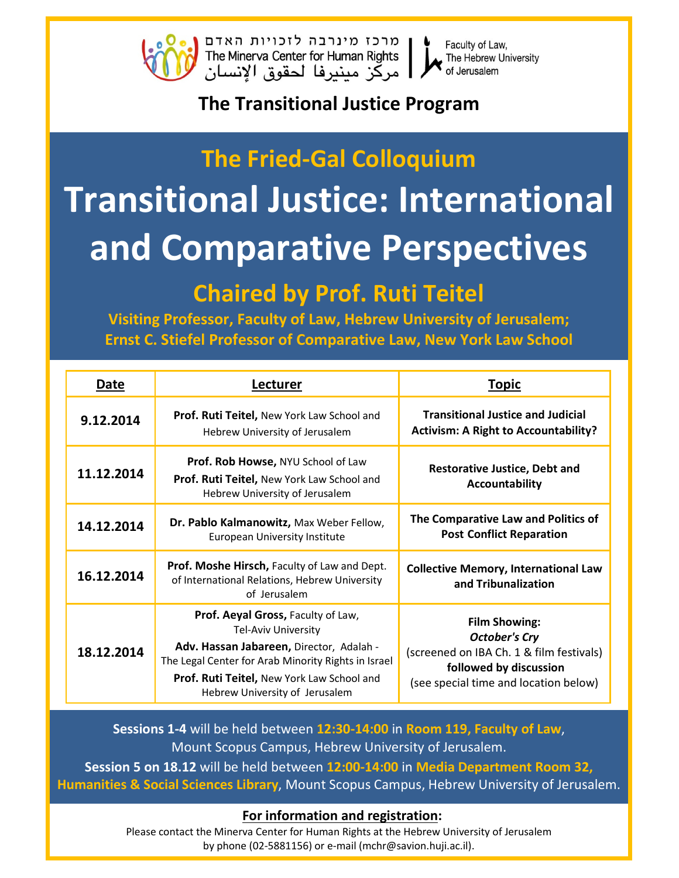

Faculty of Law, The Hebrew University of Jerusalem

### **The Transitional Justice Program**

# **The Fried-Gal Colloquium Transitional Justice: International** and Comparative Perspectives

### **Chaired by Prof. Ruti Teitel**

Visiting Professor, Faculty of Law, Hebrew University of Jerusalem; Ernst C. Stiefel Professor of Comparative Law, New York Law School

| Date       | Lecturer                                                                                                                                                                                                                                     | <b>Topic</b>                                                                                                                                                |  |
|------------|----------------------------------------------------------------------------------------------------------------------------------------------------------------------------------------------------------------------------------------------|-------------------------------------------------------------------------------------------------------------------------------------------------------------|--|
| 9.12.2014  | Prof. Ruti Teitel, New York Law School and<br>Hebrew University of Jerusalem                                                                                                                                                                 | <b>Transitional Justice and Judicial</b><br><b>Activism: A Right to Accountability?</b>                                                                     |  |
| 11.12.2014 | Prof. Rob Howse, NYU School of Law<br>Prof. Ruti Teitel, New York Law School and<br>Hebrew University of Jerusalem                                                                                                                           | <b>Restorative Justice, Debt and</b><br>Accountability                                                                                                      |  |
| 14.12.2014 | Dr. Pablo Kalmanowitz, Max Weber Fellow,<br><b>European University Institute</b>                                                                                                                                                             | The Comparative Law and Politics of<br><b>Post Conflict Reparation</b>                                                                                      |  |
| 16.12.2014 | Prof. Moshe Hirsch, Faculty of Law and Dept.<br>of International Relations, Hebrew University<br>of Jerusalem                                                                                                                                | <b>Collective Memory, International Law</b><br>and Tribunalization                                                                                          |  |
| 18.12.2014 | Prof. Aeyal Gross, Faculty of Law,<br>Tel-Aviv University<br>Adv. Hassan Jabareen, Director, Adalah -<br>The Legal Center for Arab Minority Rights in Israel<br>Prof. Ruti Teitel, New York Law School and<br>Hebrew University of Jerusalem | <b>Film Showing:</b><br><b>October's Cry</b><br>(screened on IBA Ch. 1 & film festivals)<br>followed by discussion<br>(see special time and location below) |  |

Sessions 1-4 will be held between 12:30-14:00 in Room 119, Faculty of Law, Mount Scopus Campus, Hebrew University of Jerusalem.

Session 5 on 18.12 will be held between 12:00-14:00 in Media Department Room 32, Humanities & Social Sciences Library, Mount Scopus Campus, Hebrew University of Jerusalem.

#### For information and registration:

Please contact the Minerva Center for Human Rights at the Hebrew University of Jerusalem by phone (02-5881156) or e-mail (mchr@savion.huji.ac.il).